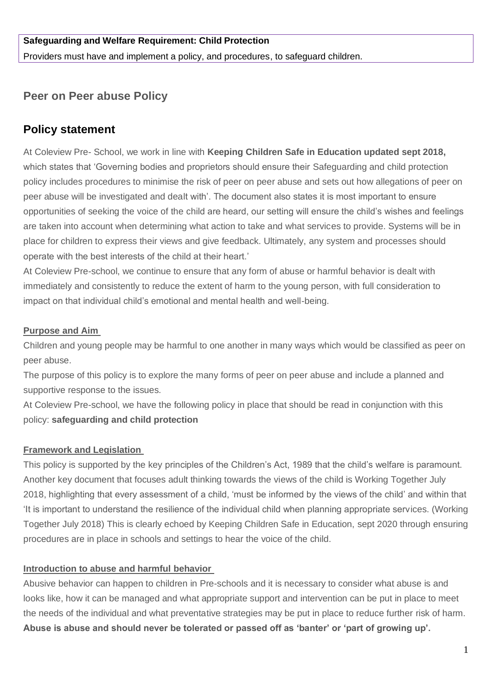# **Safeguarding and Welfare Requirement: Child Protection**

Providers must have and implement a policy, and procedures, to safeguard children.

# **Peer on Peer abuse Policy**

# **Policy statement**

At Coleview Pre- School, we work in line with **Keeping Children Safe in Education updated sept 2018,** which states that 'Governing bodies and proprietors should ensure their Safeguarding and child protection policy includes procedures to minimise the risk of peer on peer abuse and sets out how allegations of peer on peer abuse will be investigated and dealt with'. The document also states it is most important to ensure opportunities of seeking the voice of the child are heard, our setting will ensure the child's wishes and feelings are taken into account when determining what action to take and what services to provide. Systems will be in place for children to express their views and give feedback. Ultimately, any system and processes should operate with the best interests of the child at their heart.'

At Coleview Pre-school, we continue to ensure that any form of abuse or harmful behavior is dealt with immediately and consistently to reduce the extent of harm to the young person, with full consideration to impact on that individual child's emotional and mental health and well-being.

#### **Purpose and Aim**

Children and young people may be harmful to one another in many ways which would be classified as peer on peer abuse.

The purpose of this policy is to explore the many forms of peer on peer abuse and include a planned and supportive response to the issues.

At Coleview Pre-school, we have the following policy in place that should be read in conjunction with this policy: **safeguarding and child protection** 

### **Framework and Legislation**

This policy is supported by the key principles of the Children's Act, 1989 that the child's welfare is paramount. Another key document that focuses adult thinking towards the views of the child is Working Together July 2018, highlighting that every assessment of a child, 'must be informed by the views of the child' and within that 'It is important to understand the resilience of the individual child when planning appropriate services. (Working Together July 2018) This is clearly echoed by Keeping Children Safe in Education, sept 2020 through ensuring procedures are in place in schools and settings to hear the voice of the child.

### **Introduction to abuse and harmful behavior**

Abusive behavior can happen to children in Pre-schools and it is necessary to consider what abuse is and looks like, how it can be managed and what appropriate support and intervention can be put in place to meet the needs of the individual and what preventative strategies may be put in place to reduce further risk of harm. **Abuse is abuse and should never be tolerated or passed off as 'banter' or 'part of growing up'.**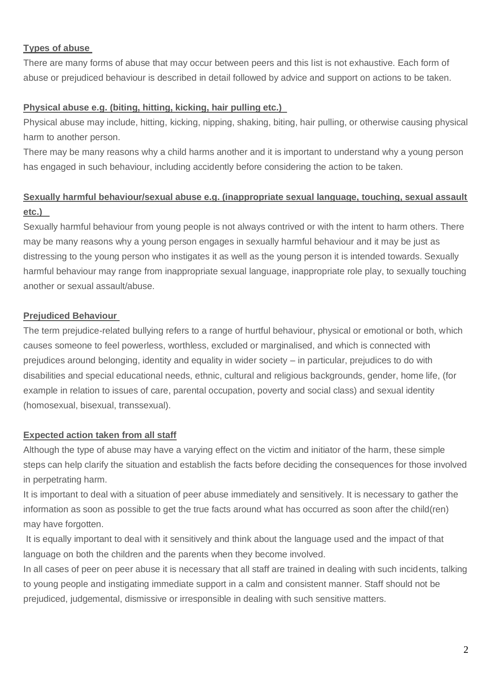## **Types of abuse**

There are many forms of abuse that may occur between peers and this list is not exhaustive. Each form of abuse or prejudiced behaviour is described in detail followed by advice and support on actions to be taken.

## **Physical abuse e.g. (biting, hitting, kicking, hair pulling etc.)**

Physical abuse may include, hitting, kicking, nipping, shaking, biting, hair pulling, or otherwise causing physical harm to another person.

There may be many reasons why a child harms another and it is important to understand why a young person has engaged in such behaviour, including accidently before considering the action to be taken.

# **Sexually harmful behaviour/sexual abuse e.g. (inappropriate sexual language, touching, sexual assault etc.)**

Sexually harmful behaviour from young people is not always contrived or with the intent to harm others. There may be many reasons why a young person engages in sexually harmful behaviour and it may be just as distressing to the young person who instigates it as well as the young person it is intended towards. Sexually harmful behaviour may range from inappropriate sexual language, inappropriate role play, to sexually touching another or sexual assault/abuse.

# **Prejudiced Behaviour**

The term prejudice-related bullying refers to a range of hurtful behaviour, physical or emotional or both, which causes someone to feel powerless, worthless, excluded or marginalised, and which is connected with prejudices around belonging, identity and equality in wider society – in particular, prejudices to do with disabilities and special educational needs, ethnic, cultural and religious backgrounds, gender, home life, (for example in relation to issues of care, parental occupation, poverty and social class) and sexual identity (homosexual, bisexual, transsexual).

# **Expected action taken from all staff**

Although the type of abuse may have a varying effect on the victim and initiator of the harm, these simple steps can help clarify the situation and establish the facts before deciding the consequences for those involved in perpetrating harm.

It is important to deal with a situation of peer abuse immediately and sensitively. It is necessary to gather the information as soon as possible to get the true facts around what has occurred as soon after the child(ren) may have forgotten.

It is equally important to deal with it sensitively and think about the language used and the impact of that language on both the children and the parents when they become involved.

In all cases of peer on peer abuse it is necessary that all staff are trained in dealing with such incidents, talking to young people and instigating immediate support in a calm and consistent manner. Staff should not be prejudiced, judgemental, dismissive or irresponsible in dealing with such sensitive matters.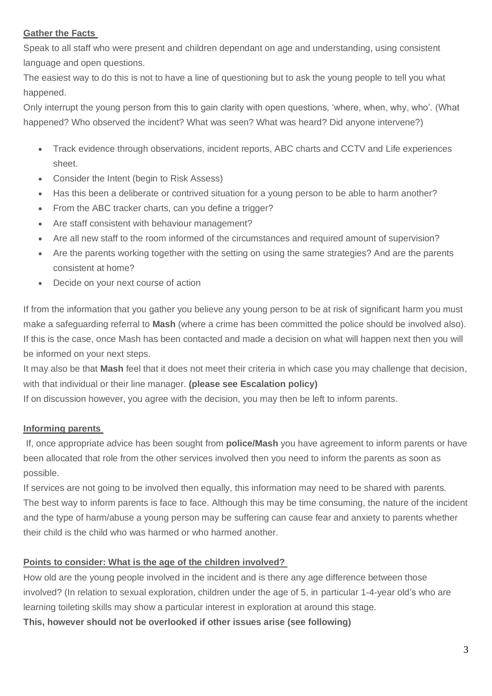### **Gather the Facts**

Speak to all staff who were present and children dependant on age and understanding, using consistent language and open questions.

The easiest way to do this is not to have a line of questioning but to ask the young people to tell you what happened.

Only interrupt the young person from this to gain clarity with open questions, 'where, when, why, who'. (What happened? Who observed the incident? What was seen? What was heard? Did anyone intervene?)

- Track evidence through observations, incident reports, ABC charts and CCTV and Life experiences sheet.
- Consider the Intent (begin to Risk Assess)
- Has this been a deliberate or contrived situation for a young person to be able to harm another?
- From the ABC tracker charts, can you define a trigger?
- Are staff consistent with behaviour management?
- Are all new staff to the room informed of the circumstances and required amount of supervision?
- Are the parents working together with the setting on using the same strategies? And are the parents consistent at home?
- Decide on your next course of action

If from the information that you gather you believe any young person to be at risk of significant harm you must make a safeguarding referral to **Mash** (where a crime has been committed the police should be involved also). If this is the case, once Mash has been contacted and made a decision on what will happen next then you will be informed on your next steps.

It may also be that **Mash** feel that it does not meet their criteria in which case you may challenge that decision, with that individual or their line manager. **(please see Escalation policy)**

If on discussion however, you agree with the decision, you may then be left to inform parents.

### **Informing parents**

If, once appropriate advice has been sought from **police/Mash** you have agreement to inform parents or have been allocated that role from the other services involved then you need to inform the parents as soon as possible.

If services are not going to be involved then equally, this information may need to be shared with parents. The best way to inform parents is face to face. Although this may be time consuming, the nature of the incident and the type of harm/abuse a young person may be suffering can cause fear and anxiety to parents whether their child is the child who was harmed or who harmed another.

### **Points to consider: What is the age of the children involved?**

How old are the young people involved in the incident and is there any age difference between those involved? (In relation to sexual exploration, children under the age of 5, in particular 1-4-year old's who are learning toileting skills may show a particular interest in exploration at around this stage.

**This, however should not be overlooked if other issues arise (see following)**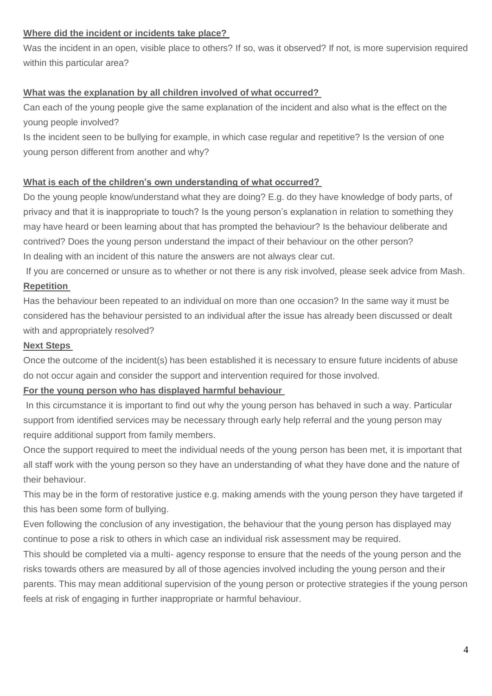### **Where did the incident or incidents take place?**

Was the incident in an open, visible place to others? If so, was it observed? If not, is more supervision required within this particular area?

#### **What was the explanation by all children involved of what occurred?**

Can each of the young people give the same explanation of the incident and also what is the effect on the young people involved?

Is the incident seen to be bullying for example, in which case regular and repetitive? Is the version of one young person different from another and why?

#### **What is each of the children's own understanding of what occurred?**

Do the young people know/understand what they are doing? E.g. do they have knowledge of body parts, of privacy and that it is inappropriate to touch? Is the young person's explanation in relation to something they may have heard or been learning about that has prompted the behaviour? Is the behaviour deliberate and contrived? Does the young person understand the impact of their behaviour on the other person? In dealing with an incident of this nature the answers are not always clear cut.

If you are concerned or unsure as to whether or not there is any risk involved, please seek advice from Mash. **Repetition** 

Has the behaviour been repeated to an individual on more than one occasion? In the same way it must be considered has the behaviour persisted to an individual after the issue has already been discussed or dealt with and appropriately resolved?

#### **Next Steps**

Once the outcome of the incident(s) has been established it is necessary to ensure future incidents of abuse do not occur again and consider the support and intervention required for those involved.

#### **For the young person who has displayed harmful behaviour**

In this circumstance it is important to find out why the young person has behaved in such a way. Particular support from identified services may be necessary through early help referral and the young person may require additional support from family members.

Once the support required to meet the individual needs of the young person has been met, it is important that all staff work with the young person so they have an understanding of what they have done and the nature of their behaviour.

This may be in the form of restorative justice e.g. making amends with the young person they have targeted if this has been some form of bullying.

Even following the conclusion of any investigation, the behaviour that the young person has displayed may continue to pose a risk to others in which case an individual risk assessment may be required.

This should be completed via a multi- agency response to ensure that the needs of the young person and the risks towards others are measured by all of those agencies involved including the young person and their parents. This may mean additional supervision of the young person or protective strategies if the young person feels at risk of engaging in further inappropriate or harmful behaviour.